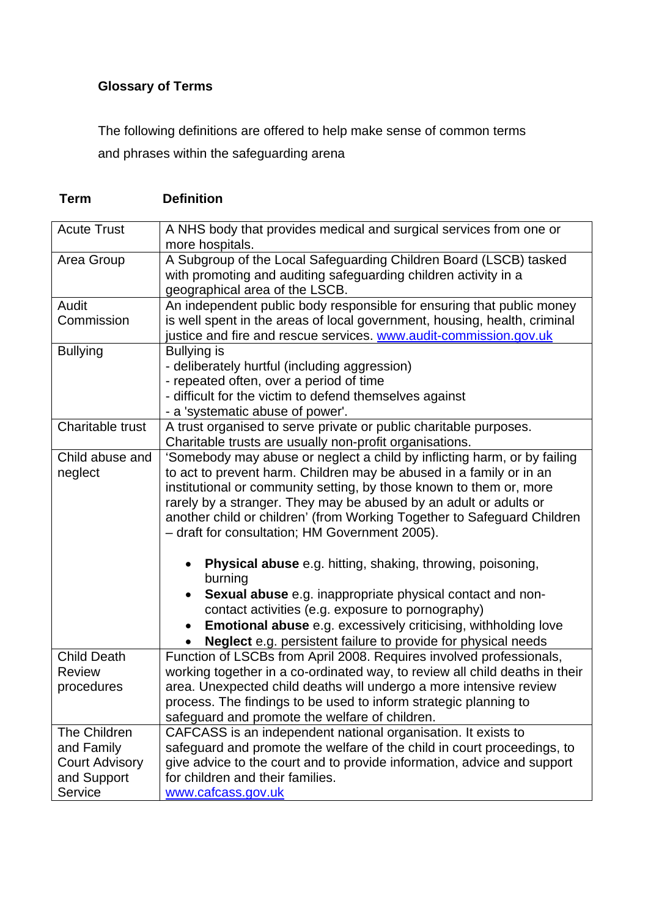## **Glossary of Terms**

**Term Definition** 

The following definitions are offered to help make sense of common terms and phrases within the safeguarding arena

| <b>Acute Trust</b>    | A NHS body that provides medical and surgical services from one or<br>more hospitals. |
|-----------------------|---------------------------------------------------------------------------------------|
| Area Group            | A Subgroup of the Local Safeguarding Children Board (LSCB) tasked                     |
|                       | with promoting and auditing safeguarding children activity in a                       |
|                       | geographical area of the LSCB.                                                        |
| Audit                 | An independent public body responsible for ensuring that public money                 |
| Commission            | is well spent in the areas of local government, housing, health, criminal             |
|                       | justice and fire and rescue services. www.audit-commission.gov.uk                     |
| <b>Bullying</b>       | <b>Bullying is</b>                                                                    |
|                       | - deliberately hurtful (including aggression)                                         |
|                       | - repeated often, over a period of time                                               |
|                       | - difficult for the victim to defend themselves against                               |
|                       | - a 'systematic abuse of power'.                                                      |
| Charitable trust      | A trust organised to serve private or public charitable purposes.                     |
|                       | Charitable trusts are usually non-profit organisations.                               |
|                       |                                                                                       |
| Child abuse and       | 'Somebody may abuse or neglect a child by inflicting harm, or by failing              |
| neglect               | to act to prevent harm. Children may be abused in a family or in an                   |
|                       | institutional or community setting, by those known to them or, more                   |
|                       | rarely by a stranger. They may be abused by an adult or adults or                     |
|                       | another child or children' (from Working Together to Safeguard Children               |
|                       | - draft for consultation; HM Government 2005).                                        |
|                       | <b>Physical abuse</b> e.g. hitting, shaking, throwing, poisoning,                     |
|                       | burning                                                                               |
|                       | <b>Sexual abuse</b> e.g. inappropriate physical contact and non-                      |
|                       | contact activities (e.g. exposure to pornography)                                     |
|                       | <b>Emotional abuse</b> e.g. excessively criticising, withholding love                 |
|                       | <b>Neglect</b> e.g. persistent failure to provide for physical needs                  |
| <b>Child Death</b>    | Function of LSCBs from April 2008. Requires involved professionals,                   |
| <b>Review</b>         | working together in a co-ordinated way, to review all child deaths in their           |
| procedures            | area. Unexpected child deaths will undergo a more intensive review                    |
|                       | process. The findings to be used to inform strategic planning to                      |
|                       | safeguard and promote the welfare of children.                                        |
|                       |                                                                                       |
| The Children          | CAFCASS is an independent national organisation. It exists to                         |
| and Family            | safeguard and promote the welfare of the child in court proceedings, to               |
| <b>Court Advisory</b> | give advice to the court and to provide information, advice and support               |
| and Support           | for children and their families.                                                      |
| Service               | www.cafcass.gov.uk                                                                    |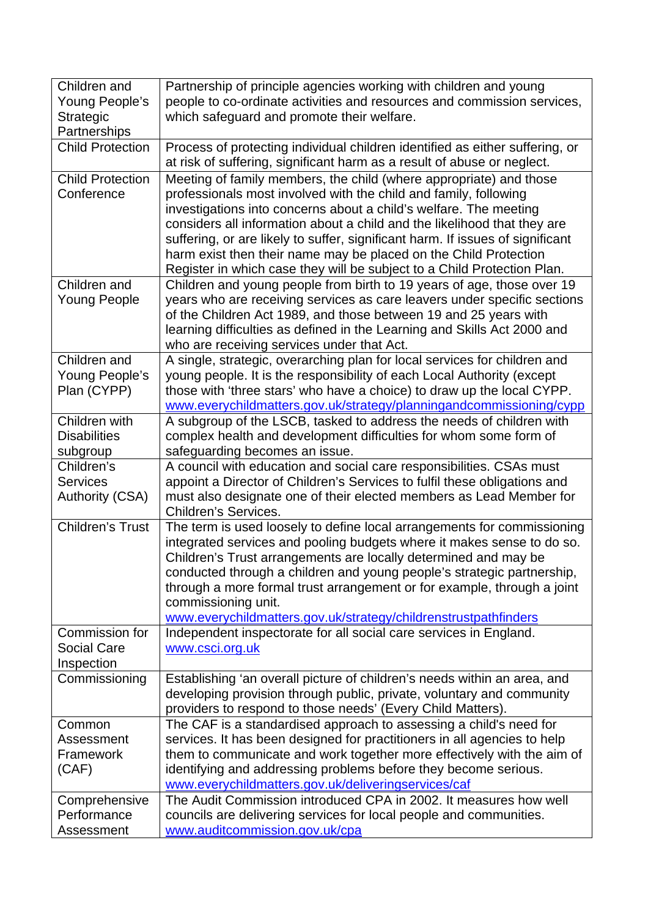| Children and<br>Young People's<br><b>Strategic</b><br>Partnerships | Partnership of principle agencies working with children and young<br>people to co-ordinate activities and resources and commission services,<br>which safeguard and promote their welfare.                                                                                                                                                                                                                                                                                                                               |
|--------------------------------------------------------------------|--------------------------------------------------------------------------------------------------------------------------------------------------------------------------------------------------------------------------------------------------------------------------------------------------------------------------------------------------------------------------------------------------------------------------------------------------------------------------------------------------------------------------|
| <b>Child Protection</b>                                            | Process of protecting individual children identified as either suffering, or<br>at risk of suffering, significant harm as a result of abuse or neglect.                                                                                                                                                                                                                                                                                                                                                                  |
| <b>Child Protection</b><br>Conference                              | Meeting of family members, the child (where appropriate) and those<br>professionals most involved with the child and family, following<br>investigations into concerns about a child's welfare. The meeting<br>considers all information about a child and the likelihood that they are<br>suffering, or are likely to suffer, significant harm. If issues of significant<br>harm exist then their name may be placed on the Child Protection<br>Register in which case they will be subject to a Child Protection Plan. |
| Children and<br><b>Young People</b>                                | Children and young people from birth to 19 years of age, those over 19<br>years who are receiving services as care leavers under specific sections<br>of the Children Act 1989, and those between 19 and 25 years with<br>learning difficulties as defined in the Learning and Skills Act 2000 and<br>who are receiving services under that Act.                                                                                                                                                                         |
| Children and<br>Young People's<br>Plan (CYPP)                      | A single, strategic, overarching plan for local services for children and<br>young people. It is the responsibility of each Local Authority (except<br>those with 'three stars' who have a choice) to draw up the local CYPP.<br>www.everychildmatters.gov.uk/strategy/planningandcommissioning/cypp                                                                                                                                                                                                                     |
| Children with                                                      | A subgroup of the LSCB, tasked to address the needs of children with                                                                                                                                                                                                                                                                                                                                                                                                                                                     |
| <b>Disabilities</b>                                                | complex health and development difficulties for whom some form of                                                                                                                                                                                                                                                                                                                                                                                                                                                        |
| subgroup                                                           | safeguarding becomes an issue.                                                                                                                                                                                                                                                                                                                                                                                                                                                                                           |
| Children's<br><b>Services</b><br><b>Authority (CSA)</b>            | A council with education and social care responsibilities. CSAs must<br>appoint a Director of Children's Services to fulfil these obligations and<br>must also designate one of their elected members as Lead Member for<br><b>Children's Services.</b>                                                                                                                                                                                                                                                                  |
| <b>Children's Trust</b>                                            | The term is used loosely to define local arrangements for commissioning<br>integrated services and pooling budgets where it makes sense to do so.<br>Children's Trust arrangements are locally determined and may be<br>conducted through a children and young people's strategic partnership,<br>through a more formal trust arrangement or for example, through a joint<br>commissioning unit.<br>www.everychildmatters.gov.uk/strategy/childrenstrustpathfinders                                                      |
| Commission for<br><b>Social Care</b><br>Inspection                 | Independent inspectorate for all social care services in England.<br>www.csci.org.uk                                                                                                                                                                                                                                                                                                                                                                                                                                     |
| Commissioning                                                      | Establishing 'an overall picture of children's needs within an area, and<br>developing provision through public, private, voluntary and community<br>providers to respond to those needs' (Every Child Matters).                                                                                                                                                                                                                                                                                                         |
| Common<br>Assessment<br>Framework<br>(CAF)                         | The CAF is a standardised approach to assessing a child's need for<br>services. It has been designed for practitioners in all agencies to help<br>them to communicate and work together more effectively with the aim of<br>identifying and addressing problems before they become serious.<br>www.everychildmatters.gov.uk/deliveringservices/caf                                                                                                                                                                       |
| Comprehensive<br>Performance<br>Assessment                         | The Audit Commission introduced CPA in 2002. It measures how well<br>councils are delivering services for local people and communities.<br>www.auditcommission.gov.uk/cpa                                                                                                                                                                                                                                                                                                                                                |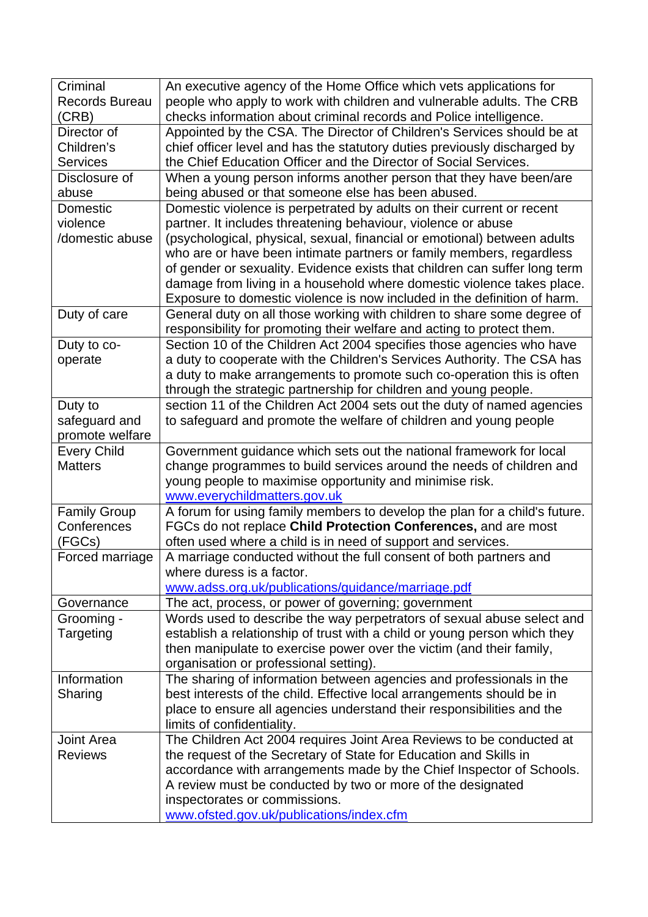| Criminal              | An executive agency of the Home Office which vets applications for         |
|-----------------------|----------------------------------------------------------------------------|
| <b>Records Bureau</b> | people who apply to work with children and vulnerable adults. The CRB      |
| (CRB)                 | checks information about criminal records and Police intelligence.         |
| Director of           | Appointed by the CSA. The Director of Children's Services should be at     |
| Children's            | chief officer level and has the statutory duties previously discharged by  |
| <b>Services</b>       | the Chief Education Officer and the Director of Social Services.           |
| Disclosure of         | When a young person informs another person that they have been/are         |
| abuse                 | being abused or that someone else has been abused.                         |
| Domestic              | Domestic violence is perpetrated by adults on their current or recent      |
| violence              | partner. It includes threatening behaviour, violence or abuse              |
| /domestic abuse       | (psychological, physical, sexual, financial or emotional) between adults   |
|                       | who are or have been intimate partners or family members, regardless       |
|                       | of gender or sexuality. Evidence exists that children can suffer long term |
|                       | damage from living in a household where domestic violence takes place.     |
|                       | Exposure to domestic violence is now included in the definition of harm.   |
| Duty of care          | General duty on all those working with children to share some degree of    |
|                       | responsibility for promoting their welfare and acting to protect them.     |
| Duty to co-           | Section 10 of the Children Act 2004 specifies those agencies who have      |
| operate               | a duty to cooperate with the Children's Services Authority. The CSA has    |
|                       | a duty to make arrangements to promote such co-operation this is often     |
|                       | through the strategic partnership for children and young people.           |
| Duty to               | section 11 of the Children Act 2004 sets out the duty of named agencies    |
| safeguard and         | to safeguard and promote the welfare of children and young people          |
| promote welfare       |                                                                            |
| <b>Every Child</b>    | Government guidance which sets out the national framework for local        |
| <b>Matters</b>        | change programmes to build services around the needs of children and       |
|                       | young people to maximise opportunity and minimise risk.                    |
|                       | www.everychildmatters.gov.uk                                               |
| <b>Family Group</b>   | A forum for using family members to develop the plan for a child's future. |
| Conferences           | FGCs do not replace Child Protection Conferences, and are most             |
| (FGCs)                | often used where a child is in need of support and services.               |
| Forced marriage       | A marriage conducted without the full consent of both partners and         |
|                       | where duress is a factor.                                                  |
|                       | www.adss.org.uk/publications/guidance/marriage.pdf                         |
| Governance            | The act, process, or power of governing; government                        |
| Grooming -            | Words used to describe the way perpetrators of sexual abuse select and     |
| Targeting             | establish a relationship of trust with a child or young person which they  |
|                       | then manipulate to exercise power over the victim (and their family,       |
|                       | organisation or professional setting).                                     |
| Information           | The sharing of information between agencies and professionals in the       |
| Sharing               | best interests of the child. Effective local arrangements should be in     |
|                       | place to ensure all agencies understand their responsibilities and the     |
|                       | limits of confidentiality.                                                 |
| Joint Area            | The Children Act 2004 requires Joint Area Reviews to be conducted at       |
| <b>Reviews</b>        | the request of the Secretary of State for Education and Skills in          |
|                       | accordance with arrangements made by the Chief Inspector of Schools.       |
|                       | A review must be conducted by two or more of the designated                |
|                       | inspectorates or commissions.                                              |
|                       | www.ofsted.gov.uk/publications/index.cfm                                   |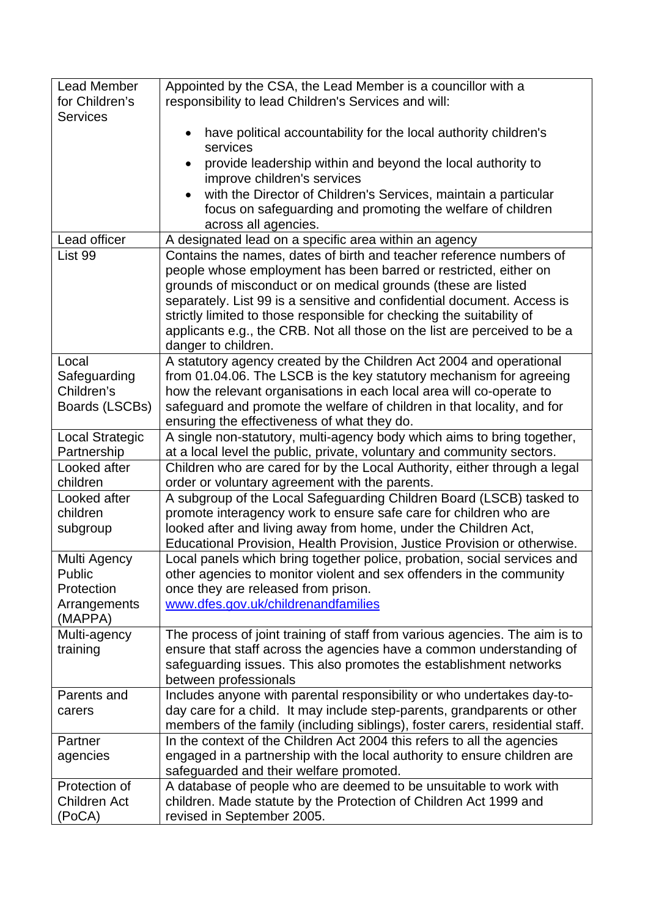| <b>Lead Member</b>     | Appointed by the CSA, the Lead Member is a councillor with a                  |
|------------------------|-------------------------------------------------------------------------------|
| for Children's         | responsibility to lead Children's Services and will:                          |
| <b>Services</b>        |                                                                               |
|                        | have political accountability for the local authority children's              |
|                        | services                                                                      |
|                        | provide leadership within and beyond the local authority to                   |
|                        | improve children's services                                                   |
|                        | with the Director of Children's Services, maintain a particular               |
|                        | focus on safeguarding and promoting the welfare of children                   |
|                        | across all agencies.                                                          |
| Lead officer           | A designated lead on a specific area within an agency                         |
| List 99                | Contains the names, dates of birth and teacher reference numbers of           |
|                        | people whose employment has been barred or restricted, either on              |
|                        | grounds of misconduct or on medical grounds (these are listed                 |
|                        | separately. List 99 is a sensitive and confidential document. Access is       |
|                        | strictly limited to those responsible for checking the suitability of         |
|                        | applicants e.g., the CRB. Not all those on the list are perceived to be a     |
|                        | danger to children.                                                           |
| Local                  | A statutory agency created by the Children Act 2004 and operational           |
| Safeguarding           | from 01.04.06. The LSCB is the key statutory mechanism for agreeing           |
| Children's             | how the relevant organisations in each local area will co-operate to          |
| Boards (LSCBs)         | safeguard and promote the welfare of children in that locality, and for       |
|                        | ensuring the effectiveness of what they do.                                   |
| <b>Local Strategic</b> | A single non-statutory, multi-agency body which aims to bring together,       |
| Partnership            | at a local level the public, private, voluntary and community sectors.        |
| Looked after           | Children who are cared for by the Local Authority, either through a legal     |
| children               | order or voluntary agreement with the parents.                                |
| Looked after           | A subgroup of the Local Safeguarding Children Board (LSCB) tasked to          |
| children               | promote interagency work to ensure safe care for children who are             |
| subgroup               | looked after and living away from home, under the Children Act,               |
|                        | Educational Provision, Health Provision, Justice Provision or otherwise.      |
| Multi Agency           | Local panels which bring together police, probation, social services and      |
| Public                 | other agencies to monitor violent and sex offenders in the community          |
| Protection             | once they are released from prison.                                           |
| Arrangements           | www.dfes.gov.uk/childrenandfamilies                                           |
| (MAPPA)                |                                                                               |
| Multi-agency           | The process of joint training of staff from various agencies. The aim is to   |
| training               | ensure that staff across the agencies have a common understanding of          |
|                        | safeguarding issues. This also promotes the establishment networks            |
|                        | between professionals                                                         |
| Parents and            | Includes anyone with parental responsibility or who undertakes day-to-        |
|                        | day care for a child. It may include step-parents, grandparents or other      |
| carers                 | members of the family (including siblings), foster carers, residential staff. |
| Partner                | In the context of the Children Act 2004 this refers to all the agencies       |
| agencies               | engaged in a partnership with the local authority to ensure children are      |
|                        | safeguarded and their welfare promoted.                                       |
| Protection of          | A database of people who are deemed to be unsuitable to work with             |
| <b>Children Act</b>    |                                                                               |
|                        | children. Made statute by the Protection of Children Act 1999 and             |
| (PoCA)                 | revised in September 2005.                                                    |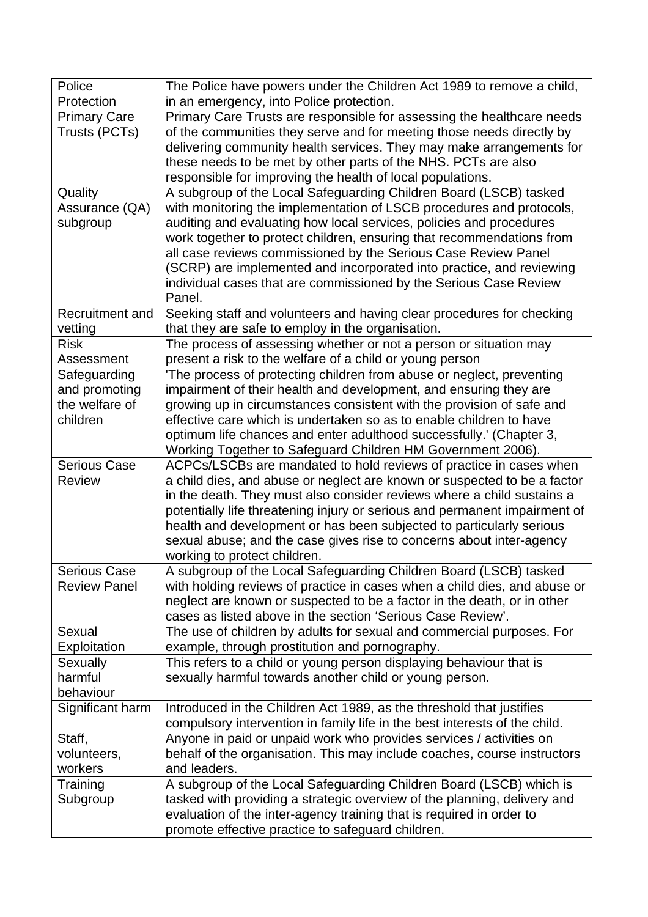| Police                   | The Police have powers under the Children Act 1989 to remove a child,                                                          |
|--------------------------|--------------------------------------------------------------------------------------------------------------------------------|
| Protection               | in an emergency, into Police protection.                                                                                       |
| <b>Primary Care</b>      | Primary Care Trusts are responsible for assessing the healthcare needs                                                         |
| Trusts (PCTs)            | of the communities they serve and for meeting those needs directly by                                                          |
|                          | delivering community health services. They may make arrangements for                                                           |
|                          | these needs to be met by other parts of the NHS. PCTs are also                                                                 |
|                          | responsible for improving the health of local populations.                                                                     |
| Quality                  | A subgroup of the Local Safeguarding Children Board (LSCB) tasked                                                              |
| Assurance (QA)           | with monitoring the implementation of LSCB procedures and protocols,                                                           |
| subgroup                 | auditing and evaluating how local services, policies and procedures                                                            |
|                          | work together to protect children, ensuring that recommendations from                                                          |
|                          | all case reviews commissioned by the Serious Case Review Panel                                                                 |
|                          | (SCRP) are implemented and incorporated into practice, and reviewing                                                           |
|                          | individual cases that are commissioned by the Serious Case Review                                                              |
|                          | Panel.                                                                                                                         |
| Recruitment and          | Seeking staff and volunteers and having clear procedures for checking                                                          |
| vetting<br><b>Risk</b>   | that they are safe to employ in the organisation.<br>The process of assessing whether or not a person or situation may         |
| Assessment               | present a risk to the welfare of a child or young person                                                                       |
| Safeguarding             | 'The process of protecting children from abuse or neglect, preventing                                                          |
| and promoting            | impairment of their health and development, and ensuring they are                                                              |
| the welfare of           | growing up in circumstances consistent with the provision of safe and                                                          |
| children                 | effective care which is undertaken so as to enable children to have                                                            |
|                          | optimum life chances and enter adulthood successfully.' (Chapter 3,                                                            |
|                          | Working Together to Safeguard Children HM Government 2006).                                                                    |
| <b>Serious Case</b>      | ACPCs/LSCBs are mandated to hold reviews of practice in cases when                                                             |
| <b>Review</b>            | a child dies, and abuse or neglect are known or suspected to be a factor                                                       |
|                          | in the death. They must also consider reviews where a child sustains a                                                         |
|                          | potentially life threatening injury or serious and permanent impairment of                                                     |
|                          | health and development or has been subjected to particularly serious                                                           |
|                          | sexual abuse; and the case gives rise to concerns about inter-agency                                                           |
|                          | working to protect children.                                                                                                   |
| <b>Serious Case</b>      | A subgroup of the Local Safeguarding Children Board (LSCB) tasked                                                              |
| <b>Review Panel</b>      | with holding reviews of practice in cases when a child dies, and abuse or                                                      |
|                          | neglect are known or suspected to be a factor in the death, or in other                                                        |
|                          | cases as listed above in the section 'Serious Case Review'.                                                                    |
| Sexual                   | The use of children by adults for sexual and commercial purposes. For                                                          |
| Exploitation<br>Sexually | example, through prostitution and pornography.                                                                                 |
| harmful                  | This refers to a child or young person displaying behaviour that is<br>sexually harmful towards another child or young person. |
| behaviour                |                                                                                                                                |
| Significant harm         | Introduced in the Children Act 1989, as the threshold that justifies                                                           |
|                          | compulsory intervention in family life in the best interests of the child.                                                     |
| Staff,                   | Anyone in paid or unpaid work who provides services / activities on                                                            |
| volunteers,              | behalf of the organisation. This may include coaches, course instructors                                                       |
| workers                  | and leaders.                                                                                                                   |
| Training                 | A subgroup of the Local Safeguarding Children Board (LSCB) which is                                                            |
| Subgroup                 | tasked with providing a strategic overview of the planning, delivery and                                                       |
|                          | evaluation of the inter-agency training that is required in order to                                                           |
|                          | promote effective practice to safeguard children.                                                                              |